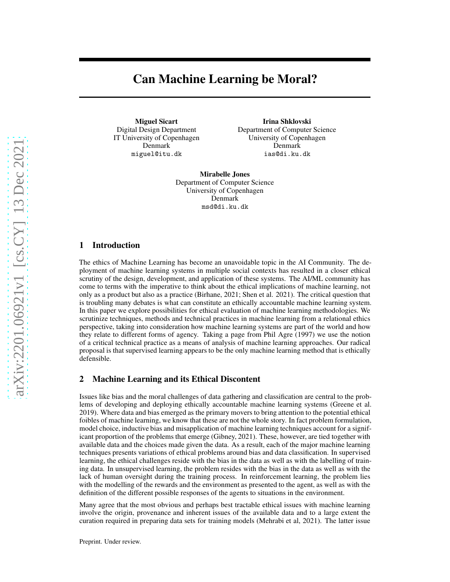# Can Machine Learning be Moral?

Miguel Sicart Digital Design Department IT University of Copenhagen Denmark miguel@itu.dk

Irina Shklovski Department of Computer Science University of Copenhagen Denmark ias@di.ku.dk

Mirabelle Jones Department of Computer Science University of Copenhagen Denmark msd@di.ku.dk

## 1 Introduction

The ethics of Machine Learning has become an unavoidable topic in the AI Community. The deployment of machine learning systems in multiple social contexts has resulted in a closer ethical scrutiny of the design, development, and application of these systems. The AI/ML community has come to terms with the imperative to think about the ethical implications of machine learning, not only as a product but also as a practice (Birhane, 2021; Shen et al. 2021). The critical question that is troubling many debates is what can constitute an ethically accountable machine learning system. In this paper we explore possibilities for ethical evaluation of machine learning methodologies. We scrutinize techniques, methods and technical practices in machine learning from a relational ethics perspective, taking into consideration how machine learning systems are part of the world and how they relate to different forms of agency. Taking a page from Phil Agre (1997) we use the notion of a critical technical practice as a means of analysis of machine learning approaches. Our radical proposal is that supervised learning appears to be the only machine learning method that is ethically defensible.

## 2 Machine Learning and its Ethical Discontent

Issues like bias and the moral challenges of data gathering and classification are central to the problems of developing and deploying ethically accountable machine learning systems (Greene et al. 2019). Where data and bias emerged as the primary movers to bring attention to the potential ethical foibles of machine learning, we know that these are not the whole story. In fact problem formulation, model choice, inductive bias and misapplication of machine learning techniques account for a significant proportion of the problems that emerge (Gibney, 2021). These, however, are tied together with available data and the choices made given the data. As a result, each of the major machine learning techniques presents variations of ethical problems around bias and data classification. In supervised learning, the ethical challenges reside with the bias in the data as well as with the labelling of training data. In unsupervised learning, the problem resides with the bias in the data as well as with the lack of human oversight during the training process. In reinforcement learning, the problem lies with the modelling of the rewards and the environment as presented to the agent, as well as with the definition of the different possible responses of the agents to situations in the environment.

Many agree that the most obvious and perhaps best tractable ethical issues with machine learning involve the origin, provenance and inherent issues of the available data and to a large extent the curation required in preparing data sets for training models (Mehrabi et al, 2021). The latter issue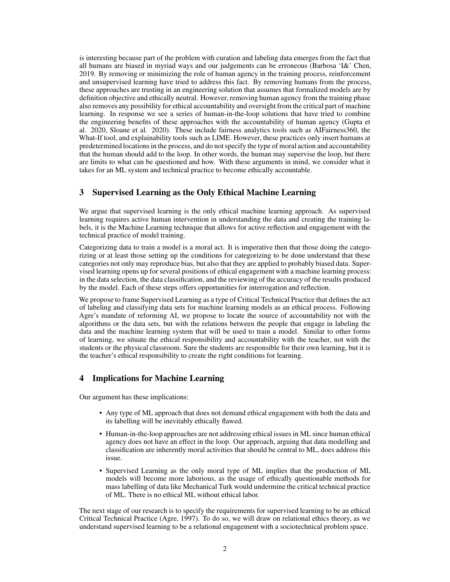is interesting because part of the problem with curation and labeling data emerges from the fact that all humans are biased in myriad ways and our judgements can be erroneous (Barbosa 'I&' Chen, 2019. By removing or minimizing the role of human agency in the training process, reinforcement and unsupervised learning have tried to address this fact. By removing humans from the process, these approaches are trusting in an engineering solution that assumes that formalized models are by definition objective and ethically neutral. However, removing human agency from the training phase also removes any possibility for ethical accountability and oversight from the critical part of machine learning. In response we see a series of human-in-the-loop solutions that have tried to combine the engineering benefits of these approaches with the accountability of human agency (Gupta et al. 2020, Sloane et al. 2020). These include fairness analytics tools such as AIFairness360, the What-If tool, and explainability tools such as LIME. However, these practices only insert humans at predetermined locations in the process, and do not specify the type of moral action and accountability that the human should add to the loop. In other words, the human may supervise the loop, but there are limits to what can be questioned and how. With these arguments in mind, we consider what it takes for an ML system and technical practice to become ethically accountable.

## 3 Supervised Learning as the Only Ethical Machine Learning

We argue that supervised learning is the only ethical machine learning approach. As supervised learning requires active human intervention in understanding the data and creating the training labels, it is the Machine Learning technique that allows for active reflection and engagement with the technical practice of model training.

Categorizing data to train a model is a moral act. It is imperative then that those doing the categorizing or at least those setting up the conditions for categorizing to be done understand that these categories not only may reproduce bias, but also that they are applied to probably biased data. Supervised learning opens up for several positions of ethical engagement with a machine learning process: in the data selection, the data classification, and the reviewing of the accuracy of the results produced by the model. Each of these steps offers opportunities for interrogation and reflection.

We propose to frame Supervised Learning as a type of Critical Technical Practice that defines the act of labeling and classifying data sets for machine learning models as an ethical process. Following Agre's mandate of reforming AI, we propose to locate the source of accountability not with the algorithms or the data sets, but with the relations between the people that engage in labeling the data and the machine learning system that will be used to train a model. Similar to other forms of learning, we situate the ethical responsibility and accountability with the teacher, not with the students or the physical classroom. Sure the students are responsible for their own learning, but it is the teacher's ethical responsibility to create the right conditions for learning.

## 4 Implications for Machine Learning

Our argument has these implications:

- Any type of ML approach that does not demand ethical engagement with both the data and its labelling will be inevitably ethically flawed.
- Human-in-the-loop approaches are not addressing ethical issues in ML since human ethical agency does not have an effect in the loop. Our approach, arguing that data modelling and classification are inherently moral activities that should be central to ML, does address this issue.
- Supervised Learning as the only moral type of ML implies that the production of ML models will become more laborious, as the usage of ethically questionable methods for mass labelling of data like Mechanical Turk would undermine the critical technical practice of ML. There is no ethical ML without ethical labor.

The next stage of our research is to specify the requirements for supervised learning to be an ethical Critical Technical Practice (Agre, 1997). To do so, we will draw on relational ethics theory, as we understand supervised learning to be a relational engagement with a sociotechnical problem space.